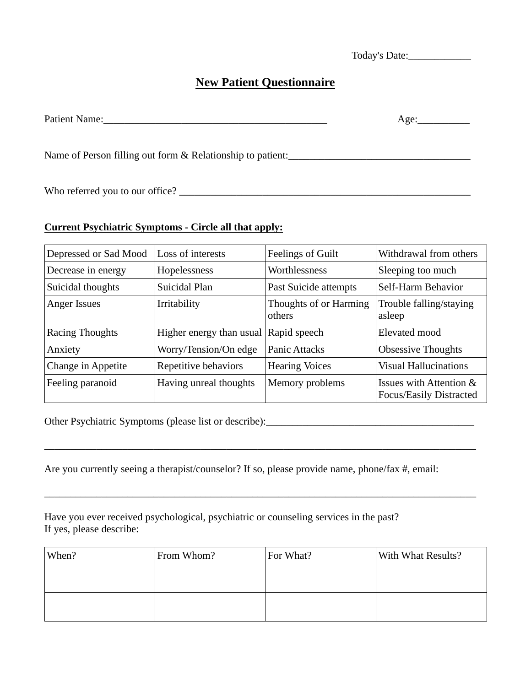Today's Date:

# **New Patient Questionnaire**

Patient Name:\_\_\_\_\_\_\_\_\_\_\_\_\_\_\_\_\_\_\_\_\_\_\_\_\_\_\_\_\_\_\_\_\_\_\_\_\_\_\_\_\_\_\_ Age:\_\_\_\_\_\_\_\_\_\_

Name of Person filling out form & Relationship to patient:

Who referred you to our office? \_\_\_\_\_\_\_\_\_\_\_\_\_\_\_\_\_\_\_\_\_\_\_\_\_\_\_\_\_\_\_\_\_\_\_\_\_\_\_\_\_\_\_\_\_\_\_\_\_\_\_\_\_\_\_\_

### **Current Psychiatric Symptoms - Circle all that apply:**

| Depressed or Sad Mood | Loss of interests                     | Feelings of Guilt                | Withdrawal from others                             |  |
|-----------------------|---------------------------------------|----------------------------------|----------------------------------------------------|--|
| Decrease in energy    | Hopelessness                          | Worthlessness                    | Sleeping too much                                  |  |
| Suicidal thoughts     | Suicidal Plan                         | Past Suicide attempts            | Self-Harm Behavior                                 |  |
| Anger Issues          | Irritability                          | Thoughts of or Harming<br>others | Trouble falling/staying<br>asleep                  |  |
| Racing Thoughts       | Higher energy than usual Rapid speech |                                  | Elevated mood                                      |  |
| Anxiety               | Worry/Tension/On edge                 | <b>Panic Attacks</b>             | <b>Obsessive Thoughts</b>                          |  |
| Change in Appetite    | Repetitive behaviors                  | <b>Hearing Voices</b>            | <b>Visual Hallucinations</b>                       |  |
| Feeling paranoid      | Having unreal thoughts                | Memory problems                  | Issues with Attention &<br>Focus/Easily Distracted |  |

Other Psychiatric Symptoms (please list or describe):\_\_\_\_\_\_\_\_\_\_\_\_\_\_\_\_\_\_\_\_\_\_\_\_\_\_\_\_\_\_\_\_\_\_\_\_\_\_\_\_

Are you currently seeing a therapist/counselor? If so, please provide name, phone/fax #, email:

\_\_\_\_\_\_\_\_\_\_\_\_\_\_\_\_\_\_\_\_\_\_\_\_\_\_\_\_\_\_\_\_\_\_\_\_\_\_\_\_\_\_\_\_\_\_\_\_\_\_\_\_\_\_\_\_\_\_\_\_\_\_\_\_\_\_\_\_\_\_\_\_\_\_\_\_\_\_\_\_\_\_\_

\_\_\_\_\_\_\_\_\_\_\_\_\_\_\_\_\_\_\_\_\_\_\_\_\_\_\_\_\_\_\_\_\_\_\_\_\_\_\_\_\_\_\_\_\_\_\_\_\_\_\_\_\_\_\_\_\_\_\_\_\_\_\_\_\_\_\_\_\_\_\_\_\_\_\_\_\_\_\_\_\_\_\_

Have you ever received psychological, psychiatric or counseling services in the past? If yes, please describe:

| When? | From Whom? | For What? | With What Results? |
|-------|------------|-----------|--------------------|
|       |            |           |                    |
|       |            |           |                    |
|       |            |           |                    |
|       |            |           |                    |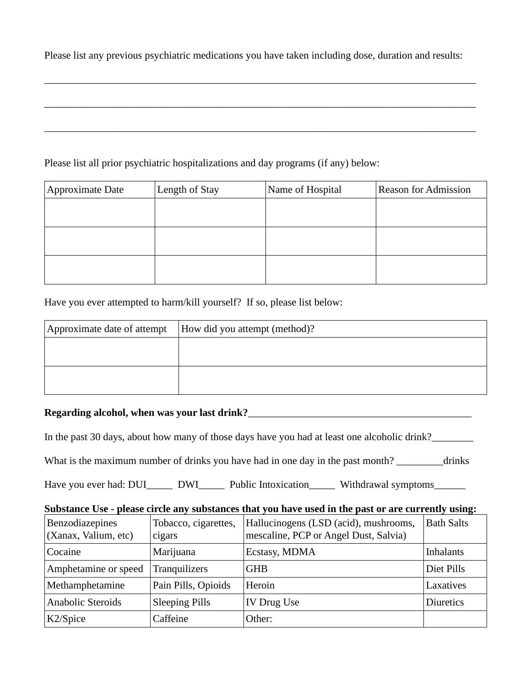Please list any previous psychiatric medications you have taken including dose, duration and results:

\_\_\_\_\_\_\_\_\_\_\_\_\_\_\_\_\_\_\_\_\_\_\_\_\_\_\_\_\_\_\_\_\_\_\_\_\_\_\_\_\_\_\_\_\_\_\_\_\_\_\_\_\_\_\_\_\_\_\_\_\_\_\_\_\_\_\_\_\_\_\_\_\_\_\_\_\_\_\_\_\_\_\_

\_\_\_\_\_\_\_\_\_\_\_\_\_\_\_\_\_\_\_\_\_\_\_\_\_\_\_\_\_\_\_\_\_\_\_\_\_\_\_\_\_\_\_\_\_\_\_\_\_\_\_\_\_\_\_\_\_\_\_\_\_\_\_\_\_\_\_\_\_\_\_\_\_\_\_\_\_\_\_\_\_\_\_

## Please list all prior psychiatric hospitalizations and day programs (if any) below:

| Approximate Date | Length of Stay | Name of Hospital | <b>Reason for Admission</b> |
|------------------|----------------|------------------|-----------------------------|
|                  |                |                  |                             |
|                  |                |                  |                             |
|                  |                |                  |                             |
|                  |                |                  |                             |
|                  |                |                  |                             |
|                  |                |                  |                             |

Have you ever attempted to harm/kill yourself? If so, please list below:

| Approximate date of attempt | How did you attempt (method)? |
|-----------------------------|-------------------------------|
|                             |                               |
|                             |                               |
|                             |                               |
|                             |                               |

# **Regarding alcohol, when was your last drink?**\_\_\_\_\_\_\_\_\_\_\_\_\_\_\_\_\_\_\_\_\_\_\_\_\_\_\_\_\_\_\_\_\_\_\_\_\_\_\_\_\_\_\_

In the past 30 days, about how many of those days have you had at least one alcoholic drink?\_\_\_\_\_\_\_\_

What is the maximum number of drinks you have had in one day in the past month? \_\_\_\_\_\_\_\_\_drinks

Have you ever had: DUI\_\_\_\_\_\_ DWI\_\_\_\_\_\_ Public Intoxication \_\_\_\_\_ Withdrawal symptoms

#### **Substance Use - please circle any substances that you have used in the past or are currently using:**

| Benzodiazepines<br>(Xanax, Valium, etc) | Tobacco, cigarettes,<br>cigars | Hallucinogens (LSD (acid), mushrooms,<br>mescaline, PCP or Angel Dust, Salvia) | <b>Bath Salts</b> |
|-----------------------------------------|--------------------------------|--------------------------------------------------------------------------------|-------------------|
| Cocaine                                 | Marijuana                      | Ecstasy, MDMA                                                                  | <b>Inhalants</b>  |
| Amphetamine or speed                    | <b>Tranquilizers</b>           | <b>GHB</b>                                                                     | Diet Pills        |
| Methamphetamine                         | Pain Pills, Opioids            | Heroin                                                                         | Laxatives         |
| Anabolic Steroids                       | <b>Sleeping Pills</b>          | IV Drug Use                                                                    | Diuretics         |
| K2/Spice                                | Caffeine                       | Other:                                                                         |                   |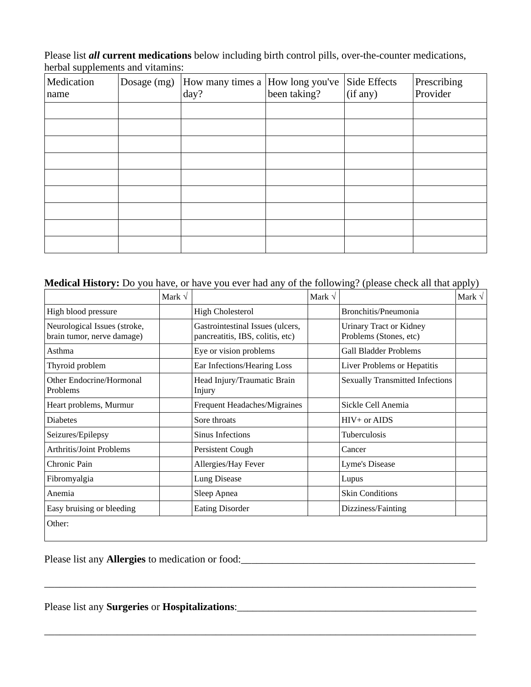Please list *all* **current medications** below including birth control pills, over-the-counter medications, herbal supplements and vitamins:

| Medication<br>name | Dosage $(mg)$  How many times a  How long you've<br>day? | been taking? | Side Effects<br>(if any) | Prescribing<br>Provider |
|--------------------|----------------------------------------------------------|--------------|--------------------------|-------------------------|
|                    |                                                          |              |                          |                         |
|                    |                                                          |              |                          |                         |
|                    |                                                          |              |                          |                         |
|                    |                                                          |              |                          |                         |
|                    |                                                          |              |                          |                         |
|                    |                                                          |              |                          |                         |
|                    |                                                          |              |                          |                         |
|                    |                                                          |              |                          |                         |
|                    |                                                          |              |                          |                         |

# **Medical History:** Do you have, or have you ever had any of the following? (please check all that apply)

|                                                            | Mark $\sqrt{}$ |                                                                      | Mark $\sqrt$ |                                                          | Mark $\sqrt$ |
|------------------------------------------------------------|----------------|----------------------------------------------------------------------|--------------|----------------------------------------------------------|--------------|
| High blood pressure                                        |                | <b>High Cholesterol</b>                                              |              | Bronchitis/Pneumonia                                     |              |
| Neurological Issues (stroke,<br>brain tumor, nerve damage) |                | Gastrointestinal Issues (ulcers,<br>pancreatitis, IBS, colitis, etc) |              | <b>Urinary Tract or Kidney</b><br>Problems (Stones, etc) |              |
| Asthma                                                     |                | Eye or vision problems                                               |              | <b>Gall Bladder Problems</b>                             |              |
| Thyroid problem                                            |                | Ear Infections/Hearing Loss                                          |              | Liver Problems or Hepatitis                              |              |
| Other Endocrine/Hormonal<br>Problems                       |                | Head Injury/Traumatic Brain<br>Injury                                |              | <b>Sexually Transmitted Infections</b>                   |              |
| Heart problems, Murmur                                     |                | Frequent Headaches/Migraines                                         |              | Sickle Cell Anemia                                       |              |
| <b>Diabetes</b>                                            |                | Sore throats                                                         |              | $HIV+$ or AIDS                                           |              |
| Seizures/Epilepsy                                          |                | Sinus Infections                                                     |              | Tuberculosis                                             |              |
| <b>Arthritis/Joint Problems</b>                            |                | Persistent Cough                                                     |              | Cancer                                                   |              |
| Chronic Pain                                               |                | Allergies/Hay Fever                                                  |              | Lyme's Disease                                           |              |
| Fibromyalgia                                               |                | Lung Disease                                                         |              | Lupus                                                    |              |
| Anemia                                                     |                | Sleep Apnea                                                          |              | <b>Skin Conditions</b>                                   |              |
| Easy bruising or bleeding                                  |                | <b>Eating Disorder</b>                                               |              | Dizziness/Fainting                                       |              |
| Other:                                                     |                |                                                                      |              |                                                          |              |

\_\_\_\_\_\_\_\_\_\_\_\_\_\_\_\_\_\_\_\_\_\_\_\_\_\_\_\_\_\_\_\_\_\_\_\_\_\_\_\_\_\_\_\_\_\_\_\_\_\_\_\_\_\_\_\_\_\_\_\_\_\_\_\_\_\_\_\_\_\_\_\_\_\_\_\_\_\_\_\_\_\_\_

\_\_\_\_\_\_\_\_\_\_\_\_\_\_\_\_\_\_\_\_\_\_\_\_\_\_\_\_\_\_\_\_\_\_\_\_\_\_\_\_\_\_\_\_\_\_\_\_\_\_\_\_\_\_\_\_\_\_\_\_\_\_\_\_\_\_\_\_\_\_\_\_\_\_\_\_\_\_\_\_\_\_\_

Please list any **Allergies** to medication or food:\_\_\_\_\_\_\_\_\_\_\_\_\_\_\_\_\_\_\_\_\_\_\_\_\_\_\_\_\_\_\_\_\_\_\_\_\_\_\_\_\_\_\_\_\_

Please list any **Surgeries** or **Hospitalizations**:\_\_\_\_\_\_\_\_\_\_\_\_\_\_\_\_\_\_\_\_\_\_\_\_\_\_\_\_\_\_\_\_\_\_\_\_\_\_\_\_\_\_\_\_\_\_